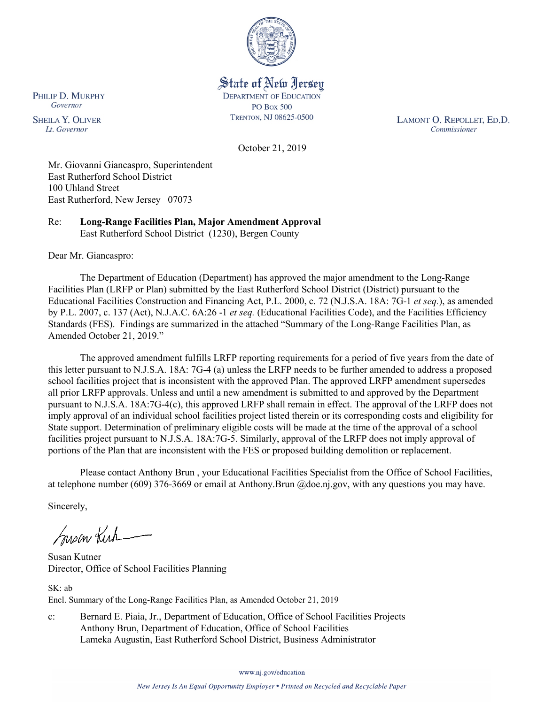

State of New Jersey **DEPARTMENT OF EDUCATION PO Box 500** TRENTON, NJ 08625-0500

LAMONT O. REPOLLET, ED.D. Commissioner

October 21, 2019

Mr. Giovanni Giancaspro, Superintendent East Rutherford School District 100 Uhland Street East Rutherford, New Jersey 07073

Re: **Long-Range Facilities Plan, Major Amendment Approval** East Rutherford School District (1230), Bergen County

Dear Mr. Giancaspro:

The Department of Education (Department) has approved the major amendment to the Long-Range Facilities Plan (LRFP or Plan) submitted by the East Rutherford School District (District) pursuant to the Educational Facilities Construction and Financing Act, P.L. 2000, c. 72 (N.J.S.A. 18A: 7G-1 *et seq.*), as amended by P.L. 2007, c. 137 (Act), N.J.A.C. 6A:26 -1 *et seq.* (Educational Facilities Code), and the Facilities Efficiency Standards (FES). Findings are summarized in the attached "Summary of the Long-Range Facilities Plan, as Amended October 21, 2019."

The approved amendment fulfills LRFP reporting requirements for a period of five years from the date of this letter pursuant to N.J.S.A. 18A: 7G-4 (a) unless the LRFP needs to be further amended to address a proposed school facilities project that is inconsistent with the approved Plan. The approved LRFP amendment supersedes all prior LRFP approvals. Unless and until a new amendment is submitted to and approved by the Department pursuant to N.J.S.A. 18A:7G-4(c), this approved LRFP shall remain in effect. The approval of the LRFP does not imply approval of an individual school facilities project listed therein or its corresponding costs and eligibility for State support. Determination of preliminary eligible costs will be made at the time of the approval of a school facilities project pursuant to N.J.S.A. 18A:7G-5. Similarly, approval of the LRFP does not imply approval of portions of the Plan that are inconsistent with the FES or proposed building demolition or replacement.

Please contact Anthony Brun , your Educational Facilities Specialist from the Office of School Facilities, at telephone number (609) 376-3669 or email at Anthony.Brun @doe.nj.gov, with any questions you may have.

Sincerely,

Susan Kich

Susan Kutner Director, Office of School Facilities Planning

SK: ab Encl. Summary of the Long-Range Facilities Plan, as Amended October 21, 2019

c: Bernard E. Piaia, Jr., Department of Education, Office of School Facilities Projects Anthony Brun, Department of Education, Office of School Facilities Lameka Augustin, East Rutherford School District, Business Administrator

www.nj.gov/education

PHILIP D. MURPHY Governor

**SHEILA Y. OLIVER** Lt. Governor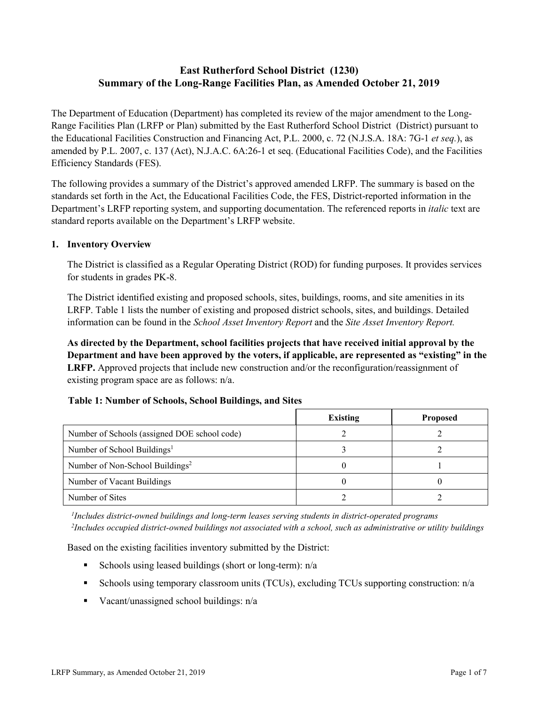# **East Rutherford School District (1230) Summary of the Long-Range Facilities Plan, as Amended October 21, 2019**

The Department of Education (Department) has completed its review of the major amendment to the Long-Range Facilities Plan (LRFP or Plan) submitted by the East Rutherford School District (District) pursuant to the Educational Facilities Construction and Financing Act, P.L. 2000, c. 72 (N.J.S.A. 18A: 7G-1 *et seq.*), as amended by P.L. 2007, c. 137 (Act), N.J.A.C. 6A:26-1 et seq. (Educational Facilities Code), and the Facilities Efficiency Standards (FES).

The following provides a summary of the District's approved amended LRFP. The summary is based on the standards set forth in the Act, the Educational Facilities Code, the FES, District-reported information in the Department's LRFP reporting system, and supporting documentation. The referenced reports in *italic* text are standard reports available on the Department's LRFP website.

#### **1. Inventory Overview**

The District is classified as a Regular Operating District (ROD) for funding purposes. It provides services for students in grades PK-8.

The District identified existing and proposed schools, sites, buildings, rooms, and site amenities in its LRFP. Table 1 lists the number of existing and proposed district schools, sites, and buildings. Detailed information can be found in the *School Asset Inventory Report* and the *Site Asset Inventory Report.*

**As directed by the Department, school facilities projects that have received initial approval by the Department and have been approved by the voters, if applicable, are represented as "existing" in the LRFP.** Approved projects that include new construction and/or the reconfiguration/reassignment of existing program space are as follows: n/a.

|  |  | Table 1: Number of Schools, School Buildings, and Sites |  |
|--|--|---------------------------------------------------------|--|
|--|--|---------------------------------------------------------|--|

|                                              | <b>Existing</b> | <b>Proposed</b> |
|----------------------------------------------|-----------------|-----------------|
| Number of Schools (assigned DOE school code) |                 |                 |
| Number of School Buildings <sup>1</sup>      |                 |                 |
| Number of Non-School Buildings <sup>2</sup>  |                 |                 |
| Number of Vacant Buildings                   |                 |                 |
| Number of Sites                              |                 |                 |

*1 Includes district-owned buildings and long-term leases serving students in district-operated programs 2 Includes occupied district-owned buildings not associated with a school, such as administrative or utility buildings*

Based on the existing facilities inventory submitted by the District:

- Schools using leased buildings (short or long-term):  $n/a$
- Schools using temporary classroom units (TCUs), excluding TCUs supporting construction: n/a
- Vacant/unassigned school buildings:  $n/a$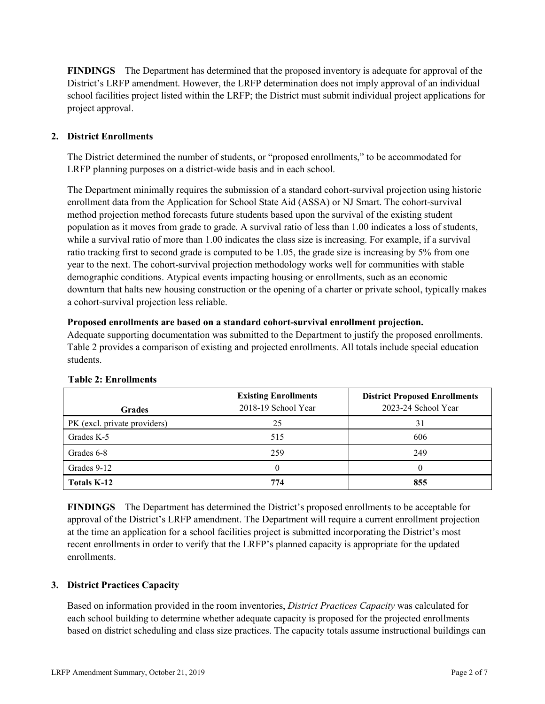**FINDINGS** The Department has determined that the proposed inventory is adequate for approval of the District's LRFP amendment. However, the LRFP determination does not imply approval of an individual school facilities project listed within the LRFP; the District must submit individual project applications for project approval.

# **2. District Enrollments**

The District determined the number of students, or "proposed enrollments," to be accommodated for LRFP planning purposes on a district-wide basis and in each school.

The Department minimally requires the submission of a standard cohort-survival projection using historic enrollment data from the Application for School State Aid (ASSA) or NJ Smart. The cohort-survival method projection method forecasts future students based upon the survival of the existing student population as it moves from grade to grade. A survival ratio of less than 1.00 indicates a loss of students, while a survival ratio of more than 1.00 indicates the class size is increasing. For example, if a survival ratio tracking first to second grade is computed to be 1.05, the grade size is increasing by 5% from one year to the next. The cohort-survival projection methodology works well for communities with stable demographic conditions. Atypical events impacting housing or enrollments, such as an economic downturn that halts new housing construction or the opening of a charter or private school, typically makes a cohort-survival projection less reliable.

### **Proposed enrollments are based on a standard cohort-survival enrollment projection.**

Adequate supporting documentation was submitted to the Department to justify the proposed enrollments. Table 2 provides a comparison of existing and projected enrollments. All totals include special education students.

| <b>Grades</b>                | <b>Existing Enrollments</b><br>2018-19 School Year | <b>District Proposed Enrollments</b><br>2023-24 School Year |
|------------------------------|----------------------------------------------------|-------------------------------------------------------------|
| PK (excl. private providers) | 25                                                 | 31                                                          |
| Grades K-5                   | 515                                                | 606                                                         |
| Grades 6-8                   | 259                                                | 249                                                         |
| Grades 9-12                  |                                                    |                                                             |
| <b>Totals K-12</b>           | 774                                                | 855                                                         |

#### **Table 2: Enrollments**

**FINDINGS** The Department has determined the District's proposed enrollments to be acceptable for approval of the District's LRFP amendment. The Department will require a current enrollment projection at the time an application for a school facilities project is submitted incorporating the District's most recent enrollments in order to verify that the LRFP's planned capacity is appropriate for the updated enrollments.

# **3. District Practices Capacity**

Based on information provided in the room inventories, *District Practices Capacity* was calculated for each school building to determine whether adequate capacity is proposed for the projected enrollments based on district scheduling and class size practices. The capacity totals assume instructional buildings can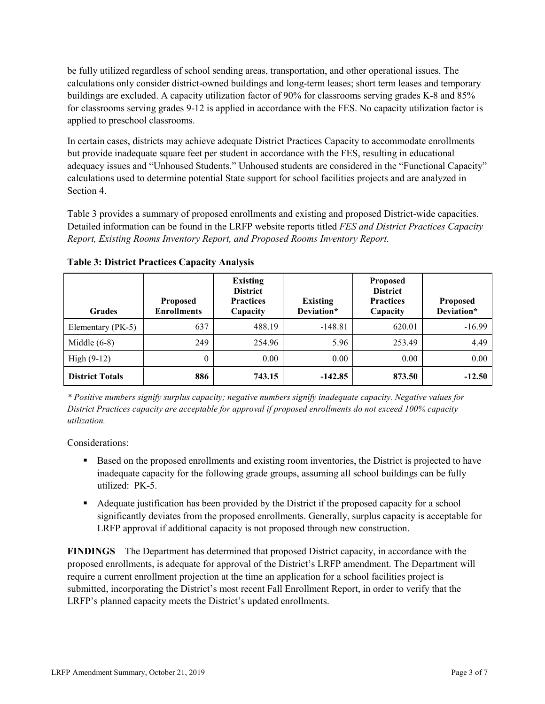be fully utilized regardless of school sending areas, transportation, and other operational issues. The calculations only consider district-owned buildings and long-term leases; short term leases and temporary buildings are excluded. A capacity utilization factor of 90% for classrooms serving grades K-8 and 85% for classrooms serving grades 9-12 is applied in accordance with the FES. No capacity utilization factor is applied to preschool classrooms.

In certain cases, districts may achieve adequate District Practices Capacity to accommodate enrollments but provide inadequate square feet per student in accordance with the FES, resulting in educational adequacy issues and "Unhoused Students." Unhoused students are considered in the "Functional Capacity" calculations used to determine potential State support for school facilities projects and are analyzed in Section 4.

Table 3 provides a summary of proposed enrollments and existing and proposed District-wide capacities. Detailed information can be found in the LRFP website reports titled *FES and District Practices Capacity Report, Existing Rooms Inventory Report, and Proposed Rooms Inventory Report.*

| <b>Grades</b>          | <b>Proposed</b><br><b>Enrollments</b> | <b>Existing</b><br><b>District</b><br><b>Practices</b><br>Capacity | <b>Existing</b><br>Deviation* | <b>Proposed</b><br><b>District</b><br><b>Practices</b><br>Capacity | <b>Proposed</b><br>Deviation* |
|------------------------|---------------------------------------|--------------------------------------------------------------------|-------------------------------|--------------------------------------------------------------------|-------------------------------|
| Elementary (PK-5)      | 637                                   | 488.19                                                             | $-148.81$                     | 620.01                                                             | $-16.99$                      |
| Middle $(6-8)$         | 249                                   | 254.96                                                             | 5.96                          | 253.49                                                             | 4.49                          |
| High $(9-12)$          | $\theta$                              | 0.00                                                               | 0.00                          | 0.00                                                               | 0.00                          |
| <b>District Totals</b> | 886                                   | 743.15                                                             | $-142.85$                     | 873.50                                                             | $-12.50$                      |

**Table 3: District Practices Capacity Analysis**

*\* Positive numbers signify surplus capacity; negative numbers signify inadequate capacity. Negative values for District Practices capacity are acceptable for approval if proposed enrollments do not exceed 100% capacity utilization.*

Considerations:

- **Based on the proposed enrollments and existing room inventories, the District is projected to have** inadequate capacity for the following grade groups, assuming all school buildings can be fully utilized: PK-5.
- Adequate justification has been provided by the District if the proposed capacity for a school significantly deviates from the proposed enrollments. Generally, surplus capacity is acceptable for LRFP approval if additional capacity is not proposed through new construction.

**FINDINGS**The Department has determined that proposed District capacity, in accordance with the proposed enrollments, is adequate for approval of the District's LRFP amendment. The Department will require a current enrollment projection at the time an application for a school facilities project is submitted, incorporating the District's most recent Fall Enrollment Report, in order to verify that the LRFP's planned capacity meets the District's updated enrollments.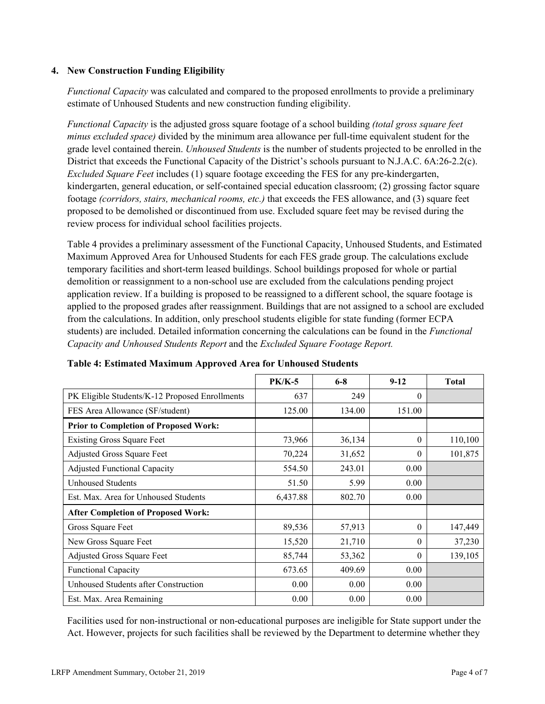### **4. New Construction Funding Eligibility**

*Functional Capacity* was calculated and compared to the proposed enrollments to provide a preliminary estimate of Unhoused Students and new construction funding eligibility.

*Functional Capacity* is the adjusted gross square footage of a school building *(total gross square feet minus excluded space)* divided by the minimum area allowance per full-time equivalent student for the grade level contained therein. *Unhoused Students* is the number of students projected to be enrolled in the District that exceeds the Functional Capacity of the District's schools pursuant to N.J.A.C. 6A:26-2.2(c). *Excluded Square Feet* includes (1) square footage exceeding the FES for any pre-kindergarten, kindergarten, general education, or self-contained special education classroom; (2) grossing factor square footage *(corridors, stairs, mechanical rooms, etc.)* that exceeds the FES allowance, and (3) square feet proposed to be demolished or discontinued from use. Excluded square feet may be revised during the review process for individual school facilities projects.

Table 4 provides a preliminary assessment of the Functional Capacity, Unhoused Students, and Estimated Maximum Approved Area for Unhoused Students for each FES grade group. The calculations exclude temporary facilities and short-term leased buildings. School buildings proposed for whole or partial demolition or reassignment to a non-school use are excluded from the calculations pending project application review. If a building is proposed to be reassigned to a different school, the square footage is applied to the proposed grades after reassignment. Buildings that are not assigned to a school are excluded from the calculations. In addition, only preschool students eligible for state funding (former ECPA students) are included. Detailed information concerning the calculations can be found in the *Functional Capacity and Unhoused Students Report* and the *Excluded Square Footage Report.*

|                                                | <b>PK/K-5</b> | $6 - 8$ | $9 - 12$ | <b>Total</b> |
|------------------------------------------------|---------------|---------|----------|--------------|
| PK Eligible Students/K-12 Proposed Enrollments | 637           | 249     | $\theta$ |              |
| FES Area Allowance (SF/student)                | 125.00        | 134.00  | 151.00   |              |
| <b>Prior to Completion of Proposed Work:</b>   |               |         |          |              |
| <b>Existing Gross Square Feet</b>              | 73,966        | 36,134  | $\theta$ | 110,100      |
| Adjusted Gross Square Feet                     | 70,224        | 31,652  | $\theta$ | 101,875      |
| <b>Adjusted Functional Capacity</b>            | 554.50        | 243.01  | 0.00     |              |
| <b>Unhoused Students</b>                       | 51.50         | 5.99    | 0.00     |              |
| Est. Max. Area for Unhoused Students           | 6,437.88      | 802.70  | 0.00     |              |
| <b>After Completion of Proposed Work:</b>      |               |         |          |              |
| Gross Square Feet                              | 89,536        | 57,913  | $\theta$ | 147,449      |
| New Gross Square Feet                          | 15,520        | 21,710  | $\theta$ | 37,230       |
| Adjusted Gross Square Feet                     | 85,744        | 53,362  | $\Omega$ | 139,105      |
| Functional Capacity                            | 673.65        | 409.69  | 0.00     |              |
| Unhoused Students after Construction           | 0.00          | 0.00    | 0.00     |              |
| Est. Max. Area Remaining                       | 0.00          | 0.00    | 0.00     |              |

**Table 4: Estimated Maximum Approved Area for Unhoused Students**

Facilities used for non-instructional or non-educational purposes are ineligible for State support under the Act. However, projects for such facilities shall be reviewed by the Department to determine whether they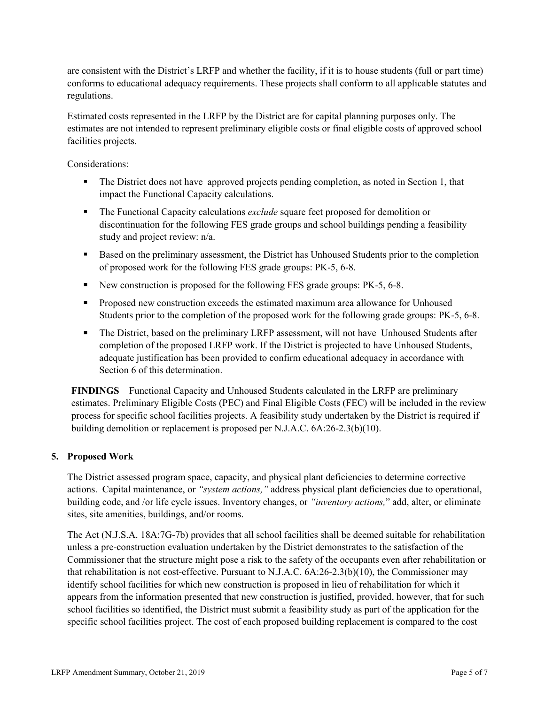are consistent with the District's LRFP and whether the facility, if it is to house students (full or part time) conforms to educational adequacy requirements. These projects shall conform to all applicable statutes and regulations.

Estimated costs represented in the LRFP by the District are for capital planning purposes only. The estimates are not intended to represent preliminary eligible costs or final eligible costs of approved school facilities projects.

Considerations:

- The District does not have approved projects pending completion, as noted in Section 1, that impact the Functional Capacity calculations.
- The Functional Capacity calculations *exclude* square feet proposed for demolition or discontinuation for the following FES grade groups and school buildings pending a feasibility study and project review: n/a.
- Based on the preliminary assessment, the District has Unhoused Students prior to the completion of proposed work for the following FES grade groups: PK-5, 6-8.
- New construction is proposed for the following FES grade groups: PK-5, 6-8.
- Proposed new construction exceeds the estimated maximum area allowance for Unhoused Students prior to the completion of the proposed work for the following grade groups: PK-5, 6-8.
- The District, based on the preliminary LRFP assessment, will not have Unhoused Students after completion of the proposed LRFP work. If the District is projected to have Unhoused Students, adequate justification has been provided to confirm educational adequacy in accordance with Section 6 of this determination.

**FINDINGS** Functional Capacity and Unhoused Students calculated in the LRFP are preliminary estimates. Preliminary Eligible Costs (PEC) and Final Eligible Costs (FEC) will be included in the review process for specific school facilities projects. A feasibility study undertaken by the District is required if building demolition or replacement is proposed per N.J.A.C. 6A:26-2.3(b)(10).

# **5. Proposed Work**

The District assessed program space, capacity, and physical plant deficiencies to determine corrective actions. Capital maintenance, or *"system actions,"* address physical plant deficiencies due to operational, building code, and /or life cycle issues. Inventory changes, or *"inventory actions,*" add, alter, or eliminate sites, site amenities, buildings, and/or rooms.

The Act (N.J.S.A. 18A:7G-7b) provides that all school facilities shall be deemed suitable for rehabilitation unless a pre-construction evaluation undertaken by the District demonstrates to the satisfaction of the Commissioner that the structure might pose a risk to the safety of the occupants even after rehabilitation or that rehabilitation is not cost-effective. Pursuant to N.J.A.C. 6A:26-2.3(b)(10), the Commissioner may identify school facilities for which new construction is proposed in lieu of rehabilitation for which it appears from the information presented that new construction is justified, provided, however, that for such school facilities so identified, the District must submit a feasibility study as part of the application for the specific school facilities project. The cost of each proposed building replacement is compared to the cost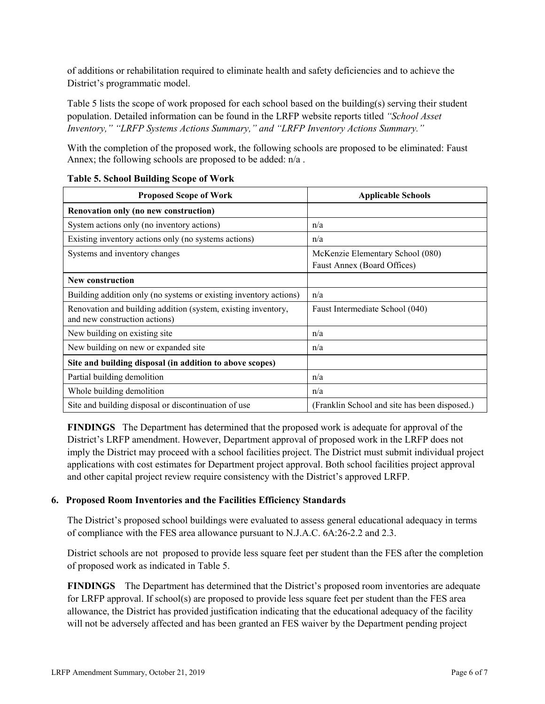of additions or rehabilitation required to eliminate health and safety deficiencies and to achieve the District's programmatic model.

Table 5 lists the scope of work proposed for each school based on the building(s) serving their student population. Detailed information can be found in the LRFP website reports titled *"School Asset Inventory," "LRFP Systems Actions Summary," and "LRFP Inventory Actions Summary."*

With the completion of the proposed work, the following schools are proposed to be eliminated: Faust Annex; the following schools are proposed to be added: n/a .

| <b>Proposed Scope of Work</b>                                                                  | <b>Applicable Schools</b>                                       |  |  |
|------------------------------------------------------------------------------------------------|-----------------------------------------------------------------|--|--|
| Renovation only (no new construction)                                                          |                                                                 |  |  |
| System actions only (no inventory actions)                                                     | n/a                                                             |  |  |
| Existing inventory actions only (no systems actions)                                           | n/a                                                             |  |  |
| Systems and inventory changes                                                                  | McKenzie Elementary School (080)<br>Faust Annex (Board Offices) |  |  |
| <b>New construction</b>                                                                        |                                                                 |  |  |
| Building addition only (no systems or existing inventory actions)                              | n/a                                                             |  |  |
| Renovation and building addition (system, existing inventory,<br>and new construction actions) | Faust Intermediate School (040)                                 |  |  |
| New building on existing site.                                                                 | n/a                                                             |  |  |
| New building on new or expanded site.                                                          | n/a                                                             |  |  |
| Site and building disposal (in addition to above scopes)                                       |                                                                 |  |  |
| Partial building demolition                                                                    | n/a                                                             |  |  |
| Whole building demolition                                                                      | n/a                                                             |  |  |
| Site and building disposal or discontinuation of use                                           | (Franklin School and site has been disposed.)                   |  |  |

### **Table 5. School Building Scope of Work**

**FINDINGS** The Department has determined that the proposed work is adequate for approval of the District's LRFP amendment. However, Department approval of proposed work in the LRFP does not imply the District may proceed with a school facilities project. The District must submit individual project applications with cost estimates for Department project approval. Both school facilities project approval and other capital project review require consistency with the District's approved LRFP.

# **6. Proposed Room Inventories and the Facilities Efficiency Standards**

The District's proposed school buildings were evaluated to assess general educational adequacy in terms of compliance with the FES area allowance pursuant to N.J.A.C. 6A:26-2.2 and 2.3.

District schools are not proposed to provide less square feet per student than the FES after the completion of proposed work as indicated in Table 5.

**FINDINGS** The Department has determined that the District's proposed room inventories are adequate for LRFP approval. If school(s) are proposed to provide less square feet per student than the FES area allowance, the District has provided justification indicating that the educational adequacy of the facility will not be adversely affected and has been granted an FES waiver by the Department pending project